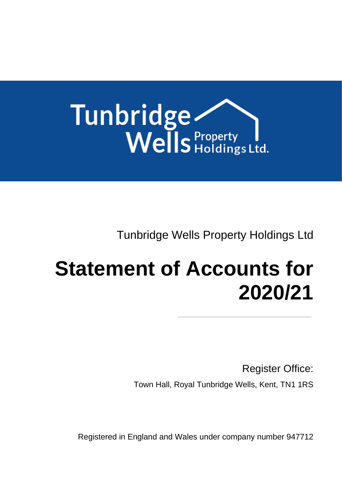

Tunbridge Wells Property Holdings Ltd

# **Statement of Accounts for 2020/21**

Register Office: Town Hall, Royal Tunbridge Wells, Kent, TN1 1RS

Registered in England and Wales under company number 947712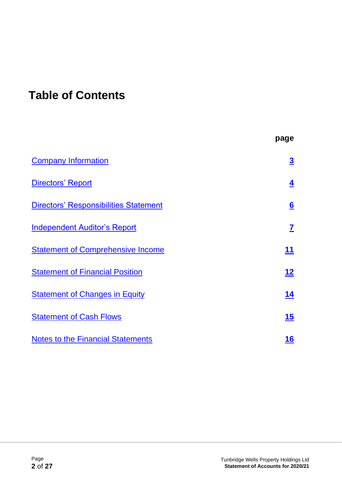# **Table of Contents**

|                                              | page                    |
|----------------------------------------------|-------------------------|
| <b>Company Information</b>                   | $\overline{\mathbf{3}}$ |
| <b>Directors' Report</b>                     | $\overline{4}$          |
| <b>Directors' Responsibilities Statement</b> | $6 \overline{6}$        |
| <b>Independent Auditor's Report</b>          | $\mathbf{Z}$            |
| <b>Statement of Comprehensive Income</b>     | 11                      |
| <b>Statement of Financial Position</b>       | <u> 12</u>              |
| <b>Statement of Changes in Equity</b>        | 14                      |
| <b>Statement of Cash Flows</b>               | 15                      |
| <b>Notes to the Financial Statements</b>     | 16                      |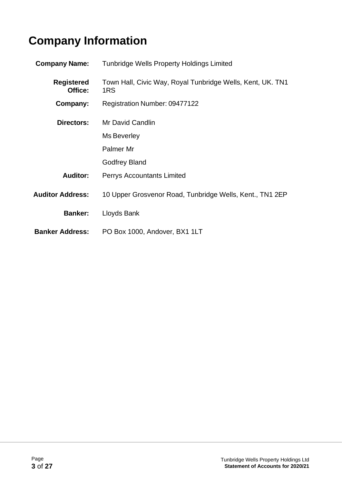# <span id="page-2-0"></span>**Company Information**

| <b>Company Name:</b>         | <b>Tunbridge Wells Property Holdings Limited</b>                  |
|------------------------------|-------------------------------------------------------------------|
| <b>Registered</b><br>Office: | Town Hall, Civic Way, Royal Tunbridge Wells, Kent, UK. TN1<br>1RS |
| Company:                     | Registration Number: 09477122                                     |
| Directors:                   | Mr David Candlin                                                  |
|                              | Ms Beverley                                                       |
|                              | Palmer Mr                                                         |
|                              | <b>Godfrey Bland</b>                                              |
| <b>Auditor:</b>              | <b>Perrys Accountants Limited</b>                                 |
| <b>Auditor Address:</b>      | 10 Upper Grosvenor Road, Tunbridge Wells, Kent., TN1 2EP          |
| <b>Banker:</b>               | Lloyds Bank                                                       |
| <b>Banker Address:</b>       | PO Box 1000, Andover, BX1 1LT                                     |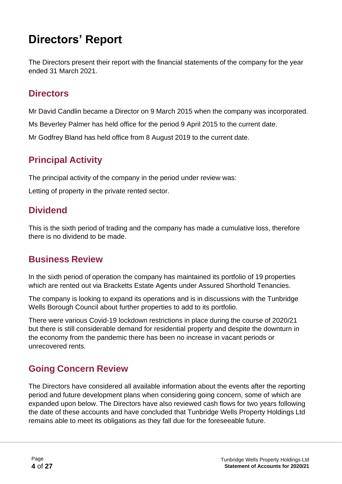# <span id="page-3-0"></span>**Directors' Report**

The Directors present their report with the financial statements of the company for the year ended 31 March 2021.

### **Directors**

Mr David Candlin became a Director on 9 March 2015 when the company was incorporated.

Ms Beverley Palmer has held office for the period 9 April 2015 to the current date.

Mr Godfrey Bland has held office from 8 August 2019 to the current date.

# **Principal Activity**

The principal activity of the company in the period under review was:

Letting of property in the private rented sector.

# **Dividend**

This is the sixth period of trading and the company has made a cumulative loss, therefore there is no dividend to be made.

# **Business Review**

In the sixth period of operation the company has maintained its portfolio of 19 properties which are rented out via Bracketts Estate Agents under Assured Shorthold Tenancies.

The company is looking to expand its operations and is in discussions with the Tunbridge Wells Borough Council about further properties to add to its portfolio.

There were various Covid-19 lockdown restrictions in place during the course of 2020/21 but there is still considerable demand for residential property and despite the downturn in the economy from the pandemic there has been no increase in vacant periods or unrecovered rents.

# **Going Concern Review**

The Directors have considered all available information about the events after the reporting period and future development plans when considering going concern, some of which are expanded upon below. The Directors have also reviewed cash flows for two years following the date of these accounts and have concluded that Tunbridge Wells Property Holdings Ltd remains able to meet its obligations as they fall due for the foreseeable future.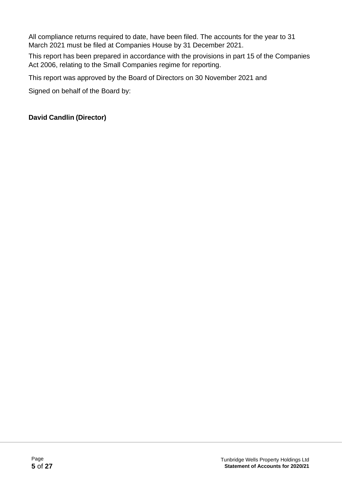All compliance returns required to date, have been filed. The accounts for the year to 31 March 2021 must be filed at Companies House by 31 December 2021.

This report has been prepared in accordance with the provisions in part 15 of the Companies Act 2006, relating to the Small Companies regime for reporting.

This report was approved by the Board of Directors on 30 November 2021 and

Signed on behalf of the Board by:

#### **David Candlin (Director)**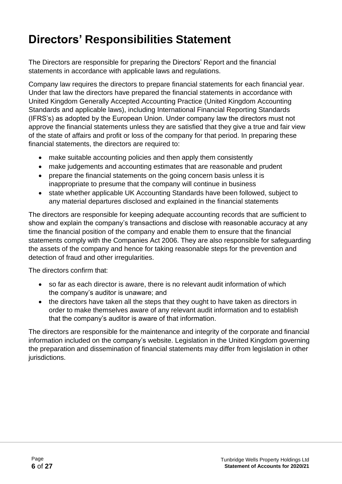# <span id="page-5-0"></span>**Directors' Responsibilities Statement**

The Directors are responsible for preparing the Directors' Report and the financial statements in accordance with applicable laws and regulations.

Company law requires the directors to prepare financial statements for each financial year. Under that law the directors have prepared the financial statements in accordance with United Kingdom Generally Accepted Accounting Practice (United Kingdom Accounting Standards and applicable laws), including International Financial Reporting Standards (IFRS's) as adopted by the European Union. Under company law the directors must not approve the financial statements unless they are satisfied that they give a true and fair view of the state of affairs and profit or loss of the company for that period. In preparing these financial statements, the directors are required to:

- make suitable accounting policies and then apply them consistently
- make judgements and accounting estimates that are reasonable and prudent
- prepare the financial statements on the going concern basis unless it is inappropriate to presume that the company will continue in business
- state whether applicable UK Accounting Standards have been followed, subject to any material departures disclosed and explained in the financial statements

The directors are responsible for keeping adequate accounting records that are sufficient to show and explain the company's transactions and disclose with reasonable accuracy at any time the financial position of the company and enable them to ensure that the financial statements comply with the Companies Act 2006. They are also responsible for safeguarding the assets of the company and hence for taking reasonable steps for the prevention and detection of fraud and other irregularities.

The directors confirm that:

- so far as each director is aware, there is no relevant audit information of which the company's auditor is unaware; and
- the directors have taken all the steps that they ought to have taken as directors in order to make themselves aware of any relevant audit information and to establish that the company's auditor is aware of that information.

The directors are responsible for the maintenance and integrity of the corporate and financial information included on the company's website. Legislation in the United Kingdom governing the preparation and dissemination of financial statements may differ from legislation in other jurisdictions.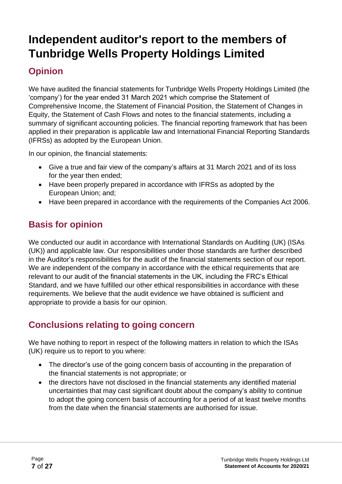# <span id="page-6-0"></span>**Independent auditor's report to the members of Tunbridge Wells Property Holdings Limited**

# **Opinion**

We have audited the financial statements for Tunbridge Wells Property Holdings Limited (the 'company') for the year ended 31 March 2021 which comprise the Statement of Comprehensive Income, the Statement of Financial Position, the Statement of Changes in Equity, the Statement of Cash Flows and notes to the financial statements, including a summary of significant accounting policies. The financial reporting framework that has been applied in their preparation is applicable law and International Financial Reporting Standards (IFRSs) as adopted by the European Union.

In our opinion, the financial statements:

- Give a true and fair view of the company's affairs at 31 March 2021 and of its loss for the year then ended;
- Have been properly prepared in accordance with IFRSs as adopted by the European Union; and;
- Have been prepared in accordance with the requirements of the Companies Act 2006.

# **Basis for opinion**

We conducted our audit in accordance with International Standards on Auditing (UK) (ISAs (UK)) and applicable law. Our responsibilities under those standards are further described in the Auditor's responsibilities for the audit of the financial statements section of our report. We are independent of the company in accordance with the ethical requirements that are relevant to our audit of the financial statements in the UK, including the FRC's Ethical Standard, and we have fulfilled our other ethical responsibilities in accordance with these requirements. We believe that the audit evidence we have obtained is sufficient and appropriate to provide a basis for our opinion.

# **Conclusions relating to going concern**

We have nothing to report in respect of the following matters in relation to which the ISAs (UK) require us to report to you where:

- The director's use of the going concern basis of accounting in the preparation of the financial statements is not appropriate; or
- the directors have not disclosed in the financial statements any identified material uncertainties that may cast significant doubt about the company's ability to continue to adopt the going concern basis of accounting for a period of at least twelve months from the date when the financial statements are authorised for issue.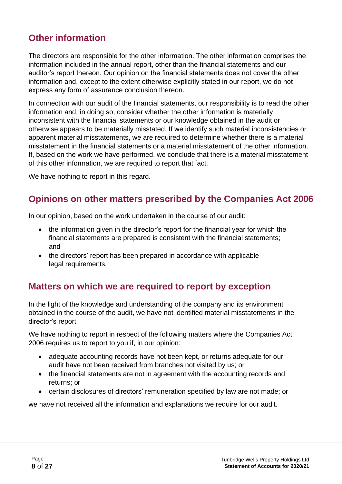# **Other information**

The directors are responsible for the other information. The other information comprises the information included in the annual report, other than the financial statements and our auditor's report thereon. Our opinion on the financial statements does not cover the other information and, except to the extent otherwise explicitly stated in our report, we do not express any form of assurance conclusion thereon.

In connection with our audit of the financial statements, our responsibility is to read the other information and, in doing so, consider whether the other information is materially inconsistent with the financial statements or our knowledge obtained in the audit or otherwise appears to be materially misstated. If we identify such material inconsistencies or apparent material misstatements, we are required to determine whether there is a material misstatement in the financial statements or a material misstatement of the other information. If, based on the work we have performed, we conclude that there is a material misstatement of this other information, we are required to report that fact.

We have nothing to report in this regard.

# **Opinions on other matters prescribed by the Companies Act 2006**

In our opinion, based on the work undertaken in the course of our audit:

- the information given in the director's report for the financial year for which the financial statements are prepared is consistent with the financial statements; and
- the directors' report has been prepared in accordance with applicable legal requirements.

### **Matters on which we are required to report by exception**

In the light of the knowledge and understanding of the company and its environment obtained in the course of the audit, we have not identified material misstatements in the director's report.

We have nothing to report in respect of the following matters where the Companies Act 2006 requires us to report to you if, in our opinion:

- adequate accounting records have not been kept, or returns adequate for our audit have not been received from branches not visited by us; or
- the financial statements are not in agreement with the accounting records and returns; or
- certain disclosures of directors' remuneration specified by law are not made; or

we have not received all the information and explanations we require for our audit.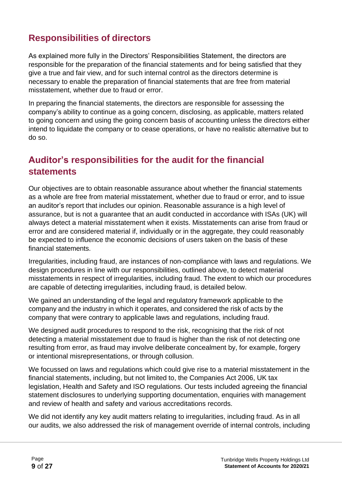# **Responsibilities of directors**

As explained more fully in the Directors' Responsibilities Statement, the directors are responsible for the preparation of the financial statements and for being satisfied that they give a true and fair view, and for such internal control as the directors determine is necessary to enable the preparation of financial statements that are free from material misstatement, whether due to fraud or error.

In preparing the financial statements, the directors are responsible for assessing the company's ability to continue as a going concern, disclosing, as applicable, matters related to going concern and using the going concern basis of accounting unless the directors either intend to liquidate the company or to cease operations, or have no realistic alternative but to do so.

## **Auditor's responsibilities for the audit for the financial statements**

Our objectives are to obtain reasonable assurance about whether the financial statements as a whole are free from material misstatement, whether due to fraud or error, and to issue an auditor's report that includes our opinion. Reasonable assurance is a high level of assurance, but is not a guarantee that an audit conducted in accordance with ISAs (UK) will always detect a material misstatement when it exists. Misstatements can arise from fraud or error and are considered material if, individually or in the aggregate, they could reasonably be expected to influence the economic decisions of users taken on the basis of these financial statements.

Irregularities, including fraud, are instances of non-compliance with laws and regulations. We design procedures in line with our responsibilities, outlined above, to detect material misstatements in respect of irregularities, including fraud. The extent to which our procedures are capable of detecting irregularities, including fraud, is detailed below.

We gained an understanding of the legal and regulatory framework applicable to the company and the industry in which it operates, and considered the risk of acts by the company that were contrary to applicable laws and regulations, including fraud.

We designed audit procedures to respond to the risk, recognising that the risk of not detecting a material misstatement due to fraud is higher than the risk of not detecting one resulting from error, as fraud may involve deliberate concealment by, for example, forgery or intentional misrepresentations, or through collusion.

We focussed on laws and regulations which could give rise to a material misstatement in the financial statements, including, but not limited to, the Companies Act 2006, UK tax legislation, Health and Safety and ISO regulations. Our tests included agreeing the financial statement disclosures to underlying supporting documentation, enquiries with management and review of health and safety and various accreditations records.

We did not identify any key audit matters relating to irregularities, including fraud. As in all our audits, we also addressed the risk of management override of internal controls, including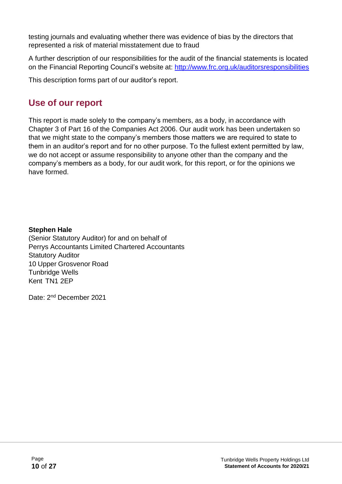testing journals and evaluating whether there was evidence of bias by the directors that represented a risk of material misstatement due to fraud

A further description of our responsibilities for the audit of the financial statements is located on the Financial Reporting Council's website at: <http://www.frc.org.uk/auditorsresponsibilities>

This description forms part of our auditor's report.

# **Use of our report**

This report is made solely to the company's members, as a body, in accordance with Chapter 3 of Part 16 of the Companies Act 2006. Our audit work has been undertaken so that we might state to the company's members those matters we are required to state to them in an auditor's report and for no other purpose. To the fullest extent permitted by law, we do not accept or assume responsibility to anyone other than the company and the company's members as a body, for our audit work, for this report, or for the opinions we have formed.

#### **Stephen Hale**

(Senior Statutory Auditor) for and on behalf of Perrys Accountants Limited Chartered Accountants Statutory Auditor 10 Upper Grosvenor Road Tunbridge Wells Kent TN1 2EP

Date: 2<sup>nd</sup> December 2021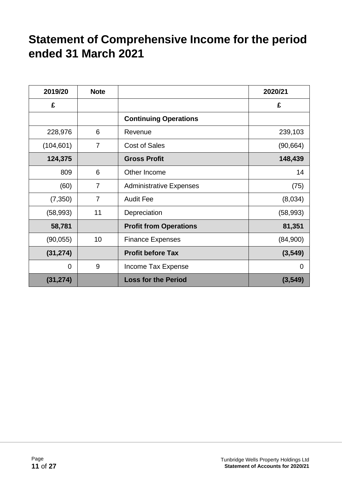# <span id="page-10-0"></span>**Statement of Comprehensive Income for the period ended 31 March 2021**

| 2019/20    | <b>Note</b>    |                                | 2020/21     |
|------------|----------------|--------------------------------|-------------|
| £          |                |                                | £           |
|            |                | <b>Continuing Operations</b>   |             |
| 228,976    | 6              | Revenue                        | 239,103     |
| (104, 601) | $\overline{7}$ | <b>Cost of Sales</b>           | (90, 664)   |
| 124,375    |                | <b>Gross Profit</b>            | 148,439     |
| 809        | 6              | Other Income                   | 14          |
| (60)       | $\overline{7}$ | <b>Administrative Expenses</b> | (75)        |
| (7, 350)   | $\overline{7}$ | <b>Audit Fee</b>               | (8,034)     |
| (58, 993)  | 11             | Depreciation                   | (58, 993)   |
| 58,781     |                | <b>Profit from Operations</b>  | 81,351      |
| (90, 055)  | 10             | <b>Finance Expenses</b>        | (84,900)    |
| (31, 274)  |                | <b>Profit before Tax</b>       | (3, 549)    |
| 0          | 9              | Income Tax Expense             | $\mathbf 0$ |
| (31, 274)  |                | <b>Loss for the Period</b>     | (3, 549)    |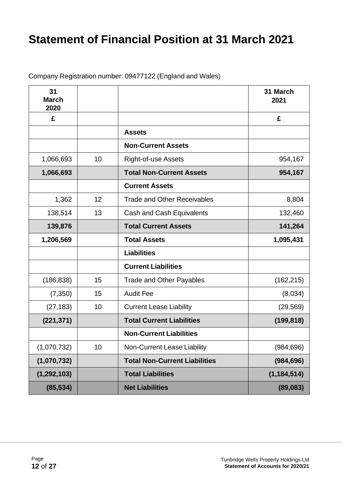# <span id="page-11-0"></span>**Statement of Financial Position at 31 March 2021**

Company Registration number: 09477122 (England and Wales)

| 31<br><b>March</b><br>2020 |    |                                      | 31 March<br>2021 |
|----------------------------|----|--------------------------------------|------------------|
| £                          |    |                                      | £                |
|                            |    | <b>Assets</b>                        |                  |
|                            |    | <b>Non-Current Assets</b>            |                  |
| 1,066,693                  | 10 | <b>Right-of-use Assets</b>           | 954,167          |
| 1,066,693                  |    | <b>Total Non-Current Assets</b>      | 954,167          |
|                            |    | <b>Current Assets</b>                |                  |
| 1,362                      | 12 | <b>Trade and Other Receivables</b>   | 8,804            |
| 138,514                    | 13 | Cash and Cash Equivalents            | 132,460          |
| 139,876                    |    | <b>Total Current Assets</b>          | 141,264          |
| 1,206,569                  |    | <b>Total Assets</b>                  | 1,095,431        |
|                            |    | <b>Liabilities</b>                   |                  |
|                            |    | <b>Current Liabilities</b>           |                  |
| (186, 838)                 | 15 | <b>Trade and Other Payables</b>      | (162, 215)       |
| (7, 350)                   | 15 | <b>Audit Fee</b>                     | (8,034)          |
| (27, 183)                  | 10 | <b>Current Lease Liability</b>       | (29, 569)        |
| (221, 371)                 |    | <b>Total Current Liabilities</b>     | (199, 818)       |
|                            |    | <b>Non-Current Liabilities</b>       |                  |
| (1,070,732)                | 10 | Non-Current Lease Liability          | (984, 696)       |
| (1,070,732)                |    | <b>Total Non-Current Liabilities</b> | (984, 696)       |
| (1, 292, 103)              |    | <b>Total Liabilities</b>             | (1, 184, 514)    |
| (85, 534)                  |    | <b>Net Liabilities</b>               | (89,083)         |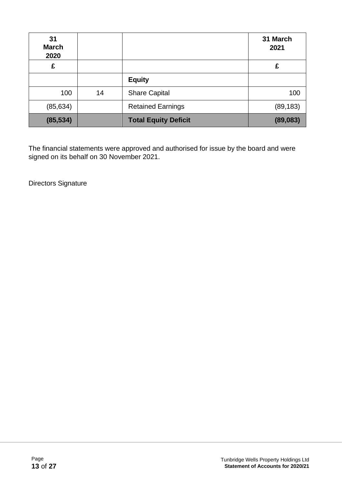| 31<br><b>March</b><br>2020 |    |                             | 31 March<br>2021 |
|----------------------------|----|-----------------------------|------------------|
| £                          |    |                             | £                |
|                            |    | <b>Equity</b>               |                  |
| 100                        | 14 | <b>Share Capital</b>        | 100              |
| (85, 634)                  |    | <b>Retained Earnings</b>    | (89, 183)        |
| (85, 534)                  |    | <b>Total Equity Deficit</b> | (89,083)         |

The financial statements were approved and authorised for issue by the board and were signed on its behalf on 30 November 2021.

Directors Signature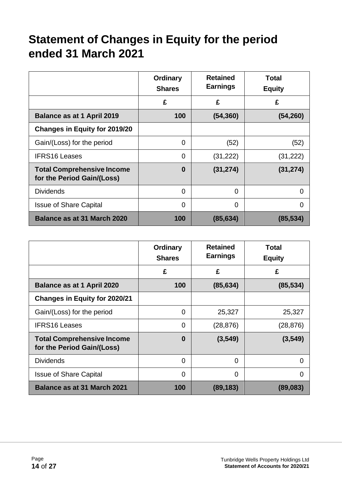# <span id="page-13-0"></span>**Statement of Changes in Equity for the period ended 31 March 2021**

|                                                                 | <b>Ordinary</b><br><b>Shares</b> | <b>Retained</b><br><b>Earnings</b> | Total<br><b>Equity</b> |
|-----------------------------------------------------------------|----------------------------------|------------------------------------|------------------------|
|                                                                 | £                                | £                                  | £                      |
| <b>Balance as at 1 April 2019</b>                               | 100                              | (54, 360)                          | (54, 260)              |
| <b>Changes in Equity for 2019/20</b>                            |                                  |                                    |                        |
| Gain/(Loss) for the period                                      | 0                                | (52)                               | (52)                   |
| <b>IFRS16 Leases</b>                                            | 0                                | (31, 222)                          | (31, 222)              |
| <b>Total Comprehensive Income</b><br>for the Period Gain/(Loss) | $\bf{0}$                         | (31, 274)                          | (31, 274)              |
| <b>Dividends</b>                                                | 0                                | $\Omega$                           | $\overline{0}$         |
| <b>Issue of Share Capital</b>                                   | 0                                | 0                                  | 0                      |
| Balance as at 31 March 2020                                     | 100                              | (85, 634)                          | (85, 534)              |

|                                                                 | <b>Ordinary</b><br><b>Shares</b> | <b>Retained</b><br><b>Earnings</b> | <b>Total</b><br><b>Equity</b> |
|-----------------------------------------------------------------|----------------------------------|------------------------------------|-------------------------------|
|                                                                 | £                                | £                                  | £                             |
| <b>Balance as at 1 April 2020</b>                               | 100                              | (85, 634)                          | (85, 534)                     |
| <b>Changes in Equity for 2020/21</b>                            |                                  |                                    |                               |
| Gain/(Loss) for the period                                      | 0                                | 25,327                             | 25,327                        |
| <b>IFRS16 Leases</b>                                            | 0                                | (28, 876)                          | (28, 876)                     |
| <b>Total Comprehensive Income</b><br>for the Period Gain/(Loss) | 0                                | (3,549)                            | (3,549)                       |
| <b>Dividends</b>                                                | 0                                | $\Omega$                           | 0                             |
| <b>Issue of Share Capital</b>                                   | 0                                | 0                                  | 0                             |
| <b>Balance as at 31 March 2021</b>                              | 100                              | (89, 183)                          | (89,083)                      |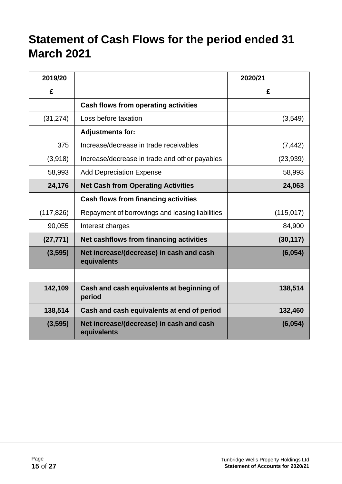# <span id="page-14-0"></span>**Statement of Cash Flows for the period ended 31 March 2021**

| 2019/20    |                                                         | 2020/21    |
|------------|---------------------------------------------------------|------------|
| £          |                                                         | £          |
|            | <b>Cash flows from operating activities</b>             |            |
| (31, 274)  | Loss before taxation                                    | (3,549)    |
|            | <b>Adjustments for:</b>                                 |            |
| 375        | Increase/decrease in trade receivables                  | (7, 442)   |
| (3,918)    | Increase/decrease in trade and other payables           | (23, 939)  |
| 58,993     | <b>Add Depreciation Expense</b>                         | 58,993     |
| 24,176     | <b>Net Cash from Operating Activities</b>               | 24,063     |
|            | <b>Cash flows from financing activities</b>             |            |
| (117, 826) | Repayment of borrowings and leasing liabilities         | (115, 017) |
| 90,055     | Interest charges                                        | 84,900     |
| (27, 771)  | Net cashflows from financing activities                 | (30, 117)  |
| (3,595)    | Net increase/(decrease) in cash and cash<br>equivalents | (6,054)    |
|            |                                                         |            |
| 142,109    | Cash and cash equivalents at beginning of<br>period     | 138,514    |
| 138,514    | Cash and cash equivalents at end of period              | 132,460    |
| (3,595)    | Net increase/(decrease) in cash and cash<br>equivalents | (6,054)    |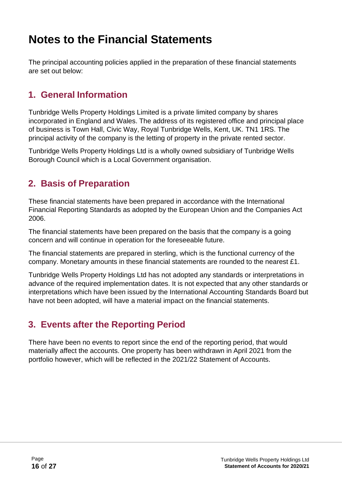# <span id="page-15-0"></span>**Notes to the Financial Statements**

The principal accounting policies applied in the preparation of these financial statements are set out below:

## **1. General Information**

Tunbridge Wells Property Holdings Limited is a private limited company by shares incorporated in England and Wales. The address of its registered office and principal place of business is Town Hall, Civic Way, Royal Tunbridge Wells, Kent, UK. TN1 1RS. The principal activity of the company is the letting of property in the private rented sector.

Tunbridge Wells Property Holdings Ltd is a wholly owned subsidiary of Tunbridge Wells Borough Council which is a Local Government organisation.

# **2. Basis of Preparation**

These financial statements have been prepared in accordance with the International Financial Reporting Standards as adopted by the European Union and the Companies Act 2006.

The financial statements have been prepared on the basis that the company is a going concern and will continue in operation for the foreseeable future.

The financial statements are prepared in sterling, which is the functional currency of the company. Monetary amounts in these financial statements are rounded to the nearest £1.

Tunbridge Wells Property Holdings Ltd has not adopted any standards or interpretations in advance of the required implementation dates. It is not expected that any other standards or interpretations which have been issued by the International Accounting Standards Board but have not been adopted, will have a material impact on the financial statements.

# **3. Events after the Reporting Period**

There have been no events to report since the end of the reporting period, that would materially affect the accounts. One property has been withdrawn in April 2021 from the portfolio however, which will be reflected in the 2021/22 Statement of Accounts.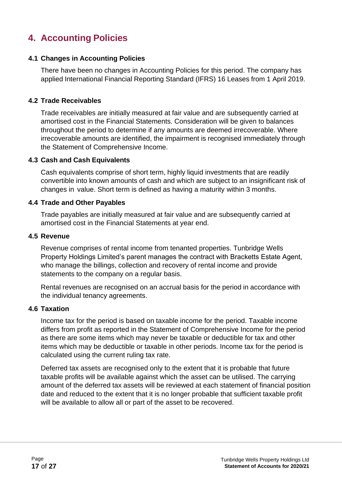# **4. Accounting Policies**

#### **4.1 Changes in Accounting Policies**

There have been no changes in Accounting Policies for this period. The company has applied International Financial Reporting Standard (IFRS) 16 Leases from 1 April 2019.

#### **4.2 Trade Receivables**

Trade receivables are initially measured at fair value and are subsequently carried at amortised cost in the Financial Statements. Consideration will be given to balances throughout the period to determine if any amounts are deemed irrecoverable. Where irrecoverable amounts are identified, the impairment is recognised immediately through the Statement of Comprehensive Income.

#### **4.3 Cash and Cash Equivalents**

Cash equivalents comprise of short term, highly liquid investments that are readily convertible into known amounts of cash and which are subject to an insignificant risk of changes in value. Short term is defined as having a maturity within 3 months.

#### **4.4 Trade and Other Payables**

Trade payables are initially measured at fair value and are subsequently carried at amortised cost in the Financial Statements at year end.

#### **4.5 Revenue**

Revenue comprises of rental income from tenanted properties. Tunbridge Wells Property Holdings Limited's parent manages the contract with Bracketts Estate Agent, who manage the billings, collection and recovery of rental income and provide statements to the company on a regular basis.

Rental revenues are recognised on an accrual basis for the period in accordance with the individual tenancy agreements.

#### **4.6 Taxation**

Income tax for the period is based on taxable income for the period. Taxable income differs from profit as reported in the Statement of Comprehensive Income for the period as there are some items which may never be taxable or deductible for tax and other items which may be deductible or taxable in other periods. Income tax for the period is calculated using the current ruling tax rate.

Deferred tax assets are recognised only to the extent that it is probable that future taxable profits will be available against which the asset can be utilised. The carrying amount of the deferred tax assets will be reviewed at each statement of financial position date and reduced to the extent that it is no longer probable that sufficient taxable profit will be available to allow all or part of the asset to be recovered.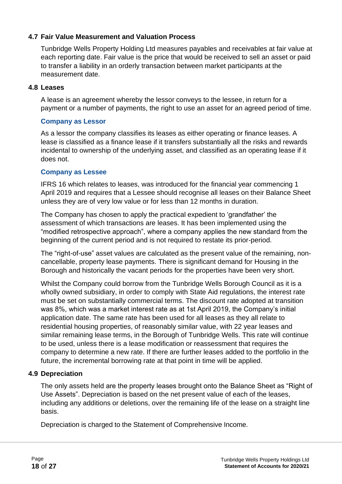#### **4.7 Fair Value Measurement and Valuation Process**

Tunbridge Wells Property Holding Ltd measures payables and receivables at fair value at each reporting date. Fair value is the price that would be received to sell an asset or paid to transfer a liability in an orderly transaction between market participants at the measurement date.

#### **4.8 Leases**

A lease is an agreement whereby the lessor conveys to the lessee, in return for a payment or a number of payments, the right to use an asset for an agreed period of time.

#### **Company as Lessor**

As a lessor the company classifies its leases as either operating or finance leases. A lease is classified as a finance lease if it transfers substantially all the risks and rewards incidental to ownership of the underlying asset, and classified as an operating lease if it does not.

#### **Company as Lessee**

IFRS 16 which relates to leases, was introduced for the financial year commencing 1 April 2019 and requires that a Lessee should recognise all leases on their Balance Sheet unless they are of very low value or for less than 12 months in duration.

The Company has chosen to apply the practical expedient to 'grandfather' the assessment of which transactions are leases. It has been implemented using the "modified retrospective approach", where a company applies the new standard from the beginning of the current period and is not required to restate its prior-period.

The "right-of-use" asset values are calculated as the present value of the remaining, noncancellable, property lease payments. There is significant demand for Housing in the Borough and historically the vacant periods for the properties have been very short.

Whilst the Company could borrow from the Tunbridge Wells Borough Council as it is a wholly owned subsidiary, in order to comply with State Aid regulations, the interest rate must be set on substantially commercial terms. The discount rate adopted at transition was 8%, which was a market interest rate as at 1st April 2019, the Company's initial application date. The same rate has been used for all leases as they all relate to residential housing properties, of reasonably similar value, with 22 year leases and similar remaining lease terms, in the Borough of Tunbridge Wells. This rate will continue to be used, unless there is a lease modification or reassessment that requires the company to determine a new rate. If there are further leases added to the portfolio in the future, the incremental borrowing rate at that point in time will be applied.

#### **4.9 Depreciation**

The only assets held are the property leases brought onto the Balance Sheet as "Right of Use Assets". Depreciation is based on the net present value of each of the leases, including any additions or deletions, over the remaining life of the lease on a straight line basis.

Depreciation is charged to the Statement of Comprehensive Income.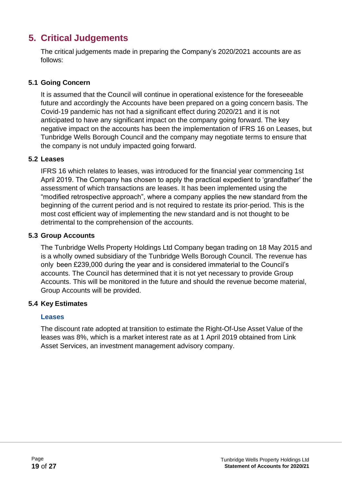# **5. Critical Judgements**

The critical judgements made in preparing the Company's 2020/2021 accounts are as follows:

#### **5.1 Going Concern**

It is assumed that the Council will continue in operational existence for the foreseeable future and accordingly the Accounts have been prepared on a going concern basis. The Covid-19 pandemic has not had a significant effect during 2020/21 and it is not anticipated to have any significant impact on the company going forward. The key negative impact on the accounts has been the implementation of IFRS 16 on Leases, but Tunbridge Wells Borough Council and the company may negotiate terms to ensure that the company is not unduly impacted going forward.

#### **5.2 Leases**

IFRS 16 which relates to leases, was introduced for the financial year commencing 1st April 2019. The Company has chosen to apply the practical expedient to 'grandfather' the assessment of which transactions are leases. It has been implemented using the "modified retrospective approach", where a company applies the new standard from the beginning of the current period and is not required to restate its prior-period. This is the most cost efficient way of implementing the new standard and is not thought to be detrimental to the comprehension of the accounts.

#### **5.3 Group Accounts**

The Tunbridge Wells Property Holdings Ltd Company began trading on 18 May 2015 and is a wholly owned subsidiary of the Tunbridge Wells Borough Council. The revenue has only been £239,000 during the year and is considered immaterial to the Council's accounts. The Council has determined that it is not yet necessary to provide Group Accounts. This will be monitored in the future and should the revenue become material, Group Accounts will be provided.

#### **5.4 Key Estimates**

#### **Leases**

The discount rate adopted at transition to estimate the Right-Of-Use Asset Value of the leases was 8%, which is a market interest rate as at 1 April 2019 obtained from Link Asset Services, an investment management advisory company.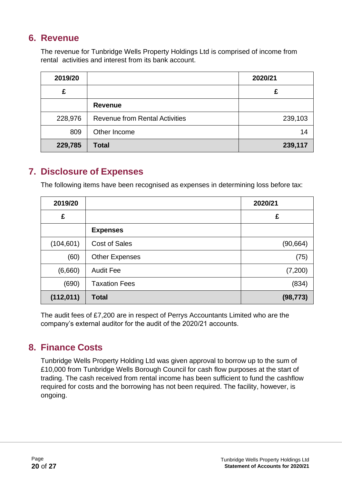## **6. Revenue**

The revenue for Tunbridge Wells Property Holdings Ltd is comprised of income from rental activities and interest from its bank account.

| 2019/20 |                                       | 2020/21 |
|---------|---------------------------------------|---------|
| £       |                                       | £       |
|         | <b>Revenue</b>                        |         |
| 228,976 | <b>Revenue from Rental Activities</b> | 239,103 |
| 809     | Other Income                          | 14      |
| 229,785 | <b>Total</b>                          | 239,117 |

# **7. Disclosure of Expenses**

The following items have been recognised as expenses in determining loss before tax:

| 2019/20    |                       | 2020/21   |
|------------|-----------------------|-----------|
| £          |                       | £         |
|            | <b>Expenses</b>       |           |
| (104, 601) | <b>Cost of Sales</b>  | (90, 664) |
| (60)       | <b>Other Expenses</b> | (75)      |
| (6,660)    | <b>Audit Fee</b>      | (7,200)   |
| (690)      | <b>Taxation Fees</b>  | (834)     |
| (112, 011) | <b>Total</b>          | (98, 773) |

The audit fees of £7,200 are in respect of Perrys Accountants Limited who are the company's external auditor for the audit of the 2020/21 accounts.

### **8. Finance Costs**

Tunbridge Wells Property Holding Ltd was given approval to borrow up to the sum of £10,000 from Tunbridge Wells Borough Council for cash flow purposes at the start of trading. The cash received from rental income has been sufficient to fund the cashflow required for costs and the borrowing has not been required. The facility, however, is ongoing.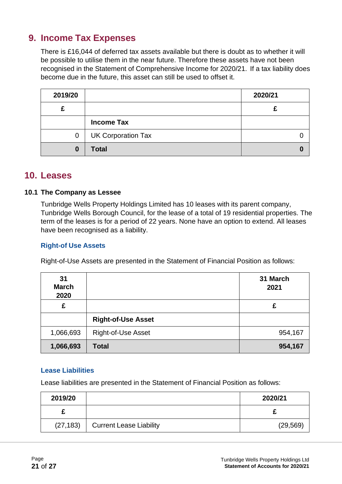# **9. Income Tax Expenses**

There is £16,044 of deferred tax assets available but there is doubt as to whether it will be possible to utilise them in the near future. Therefore these assets have not been recognised in the Statement of Comprehensive Income for 2020/21. If a tax liability does become due in the future, this asset can still be used to offset it.

| 2019/20  |                           | 2020/21 |  |
|----------|---------------------------|---------|--|
| c        |                           |         |  |
|          | <b>Income Tax</b>         |         |  |
| 0        | <b>UK Corporation Tax</b> |         |  |
| $\bf{0}$ | <b>Total</b>              |         |  |

#### **10. Leases**

#### **10.1 The Company as Lessee**

Tunbridge Wells Property Holdings Limited has 10 leases with its parent company, Tunbridge Wells Borough Council, for the lease of a total of 19 residential properties. The term of the leases is for a period of 22 years. None have an option to extend. All leases have been recognised as a liability.

#### **Right-of Use Assets**

Right-of-Use Assets are presented in the Statement of Financial Position as follows:

| 31<br><b>March</b><br>2020 |                           | 31 March<br>2021 |
|----------------------------|---------------------------|------------------|
| £                          |                           | £                |
|                            | <b>Right-of-Use Asset</b> |                  |
| 1,066,693                  | <b>Right-of-Use Asset</b> | 954,167          |
| 1,066,693                  | <b>Total</b>              | 954,167          |

#### **Lease Liabilities**

Lease liabilities are presented in the Statement of Financial Position as follows:

| 2019/20   |                                | 2020/21   |
|-----------|--------------------------------|-----------|
|           |                                |           |
| (27, 183) | <b>Current Lease Liability</b> | (29, 569) |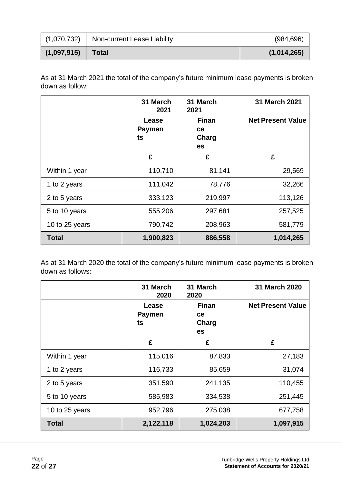| (1,070,732) | Non-current Lease Liability | (984, 696)  |
|-------------|-----------------------------|-------------|
| (1,097,915) | <b>Total</b>                | (1,014,265) |

As at 31 March 2021 the total of the company's future minimum lease payments is broken down as follow:

|                | 31 March<br>2021             | 31 March<br>2021                  | 31 March 2021            |
|----------------|------------------------------|-----------------------------------|--------------------------|
|                | Lease<br><b>Paymen</b><br>ts | <b>Finan</b><br>ce<br>Charg<br>es | <b>Net Present Value</b> |
|                | £                            | £                                 | £                        |
| Within 1 year  | 110,710                      | 81,141                            | 29,569                   |
| 1 to 2 years   | 111,042                      | 78,776                            | 32,266                   |
| 2 to 5 years   | 333,123                      | 219,997                           | 113,126                  |
| 5 to 10 years  | 555,206                      | 297,681                           | 257,525                  |
| 10 to 25 years | 790,742                      | 208,963                           | 581,779                  |
| <b>Total</b>   | 1,900,823                    | 886,558                           | 1,014,265                |

As at 31 March 2020 the total of the company's future minimum lease payments is broken down as follows:

|                | 31 March<br>2020             | 31 March<br>2020                         | 31 March 2020            |
|----------------|------------------------------|------------------------------------------|--------------------------|
|                | Lease<br><b>Paymen</b><br>ts | <b>Finan</b><br>ce<br>Charg<br><b>es</b> | <b>Net Present Value</b> |
|                | £                            | £                                        | £                        |
| Within 1 year  | 115,016                      | 87,833                                   | 27,183                   |
| 1 to 2 years   | 116,733                      | 85,659                                   | 31,074                   |
| 2 to 5 years   | 351,590                      | 241,135                                  | 110,455                  |
| 5 to 10 years  | 585,983                      | 334,538                                  | 251,445                  |
| 10 to 25 years | 952,796                      | 275,038                                  | 677,758                  |
| <b>Total</b>   | 2,122,118                    | 1,024,203                                | 1,097,915                |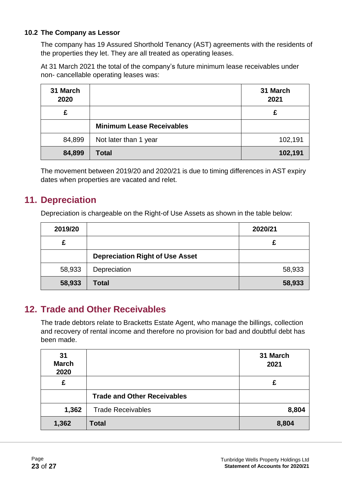#### **10.2 The Company as Lessor**

The company has 19 Assured Shorthold Tenancy (AST) agreements with the residents of the properties they let. They are all treated as operating leases.

At 31 March 2021 the total of the company's future minimum lease receivables under non- cancellable operating leases was:

| 31 March<br>2020 |                                  | 31 March<br>2021 |
|------------------|----------------------------------|------------------|
| £                |                                  | £                |
|                  | <b>Minimum Lease Receivables</b> |                  |
| 84,899           | Not later than 1 year            | 102,191          |
| 84,899           | <b>Total</b>                     | 102,191          |

The movement between 2019/20 and 2020/21 is due to timing differences in AST expiry dates when properties are vacated and relet.

### **11. Depreciation**

Depreciation is chargeable on the Right-of Use Assets as shown in the table below:

| 2019/20 |                                        | 2020/21 |
|---------|----------------------------------------|---------|
| £       |                                        |         |
|         | <b>Depreciation Right of Use Asset</b> |         |
| 58,933  | Depreciation                           | 58,933  |
| 58,933  | Total                                  | 58,933  |

### **12. Trade and Other Receivables**

The trade debtors relate to Bracketts Estate Agent, who manage the billings, collection and recovery of rental income and therefore no provision for bad and doubtful debt has been made.

| 31<br><b>March</b><br>2020 |                                    | 31 March<br>2021 |
|----------------------------|------------------------------------|------------------|
| £                          |                                    | £                |
|                            | <b>Trade and Other Receivables</b> |                  |
| 1,362                      | <b>Trade Receivables</b>           | 8,804            |
| 1,362                      | <b>Total</b>                       | 8,804            |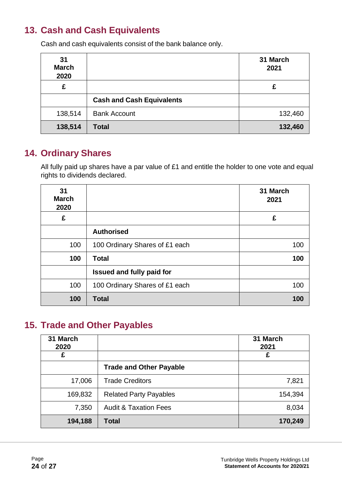# **13. Cash and Cash Equivalents**

Cash and cash equivalents consist of the bank balance only.

| 31<br><b>March</b><br>2020 |                                  | 31 March<br>2021 |
|----------------------------|----------------------------------|------------------|
| £                          |                                  | £                |
|                            | <b>Cash and Cash Equivalents</b> |                  |
| 138,514                    | <b>Bank Account</b>              | 132,460          |
| 138,514                    | <b>Total</b>                     | 132,460          |

### **14. Ordinary Shares**

All fully paid up shares have a par value of £1 and entitle the holder to one vote and equal rights to dividends declared.

| 31<br><b>March</b><br>2020 |                                  | 31 March<br>2021 |
|----------------------------|----------------------------------|------------------|
| £                          |                                  | £                |
|                            | <b>Authorised</b>                |                  |
| 100                        | 100 Ordinary Shares of £1 each   | 100              |
| 100                        | <b>Total</b>                     | 100              |
|                            | <b>Issued and fully paid for</b> |                  |
| 100                        | 100 Ordinary Shares of £1 each   | 100              |
| 100                        | <b>Total</b>                     | 100              |

# **15. Trade and Other Payables**

| 31 March<br>2020 |                                  | 31 March<br>2021 |
|------------------|----------------------------------|------------------|
| £                |                                  | £                |
|                  | <b>Trade and Other Payable</b>   |                  |
| 17,006           | <b>Trade Creditors</b>           | 7,821            |
| 169,832          | <b>Related Party Payables</b>    | 154,394          |
| 7,350            | <b>Audit &amp; Taxation Fees</b> | 8,034            |
| 194,188          | Total                            | 170,249          |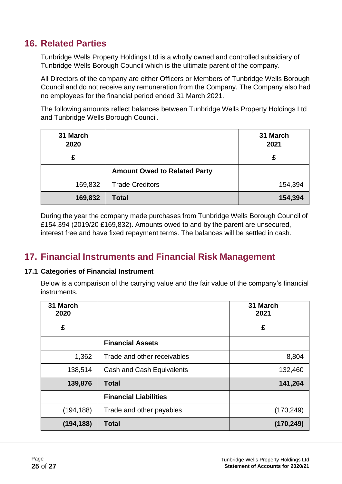# **16. Related Parties**

Tunbridge Wells Property Holdings Ltd is a wholly owned and controlled subsidiary of Tunbridge Wells Borough Council which is the ultimate parent of the company.

All Directors of the company are either Officers or Members of Tunbridge Wells Borough Council and do not receive any remuneration from the Company. The Company also had no employees for the financial period ended 31 March 2021.

The following amounts reflect balances between Tunbridge Wells Property Holdings Ltd and Tunbridge Wells Borough Council.

| 31 March<br>2020 |                                     | 31 March<br>2021 |
|------------------|-------------------------------------|------------------|
| £                |                                     | £                |
|                  | <b>Amount Owed to Related Party</b> |                  |
| 169,832          | <b>Trade Creditors</b>              | 154,394          |
| 169,832          | <b>Total</b>                        | 154,394          |

During the year the company made purchases from Tunbridge Wells Borough Council of £154,394 (2019/20 £169,832). Amounts owed to and by the parent are unsecured, interest free and have fixed repayment terms. The balances will be settled in cash.

### **17. Financial Instruments and Financial Risk Management**

#### **17.1 Categories of Financial Instrument**

Below is a comparison of the carrying value and the fair value of the company's financial instruments.

| 31 March<br>2020 |                              | 31 March<br>2021 |
|------------------|------------------------------|------------------|
| £                |                              | £                |
|                  | <b>Financial Assets</b>      |                  |
| 1,362            | Trade and other receivables  | 8,804            |
| 138,514          | Cash and Cash Equivalents    | 132,460          |
| 139,876          | <b>Total</b>                 | 141,264          |
|                  | <b>Financial Liabilities</b> |                  |
| (194, 188)       | Trade and other payables     | (170, 249)       |
| (194, 188)       | <b>Total</b>                 | (170, 249)       |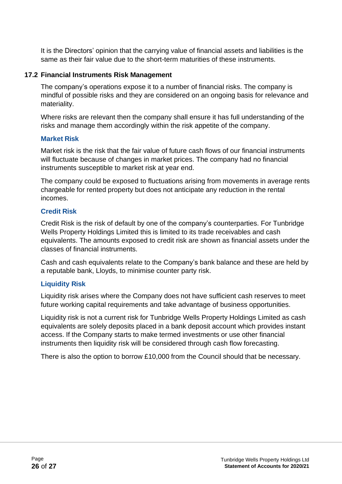It is the Directors' opinion that the carrying value of financial assets and liabilities is the same as their fair value due to the short-term maturities of these instruments.

#### **17.2 Financial Instruments Risk Management**

The company's operations expose it to a number of financial risks. The company is mindful of possible risks and they are considered on an ongoing basis for relevance and materiality.

Where risks are relevant then the company shall ensure it has full understanding of the risks and manage them accordingly within the risk appetite of the company.

#### **Market Risk**

Market risk is the risk that the fair value of future cash flows of our financial instruments will fluctuate because of changes in market prices. The company had no financial instruments susceptible to market risk at year end.

The company could be exposed to fluctuations arising from movements in average rents chargeable for rented property but does not anticipate any reduction in the rental incomes.

#### **Credit Risk**

Credit Risk is the risk of default by one of the company's counterparties. For Tunbridge Wells Property Holdings Limited this is limited to its trade receivables and cash equivalents. The amounts exposed to credit risk are shown as financial assets under the classes of financial instruments.

Cash and cash equivalents relate to the Company's bank balance and these are held by a reputable bank, Lloyds, to minimise counter party risk.

#### **Liquidity Risk**

Liquidity risk arises where the Company does not have sufficient cash reserves to meet future working capital requirements and take advantage of business opportunities.

Liquidity risk is not a current risk for Tunbridge Wells Property Holdings Limited as cash equivalents are solely deposits placed in a bank deposit account which provides instant access. If the Company starts to make termed investments or use other financial instruments then liquidity risk will be considered through cash flow forecasting.

There is also the option to borrow £10,000 from the Council should that be necessary.